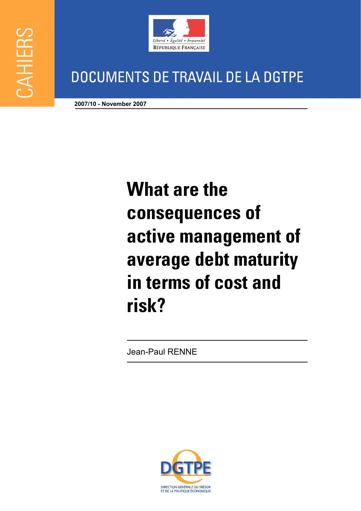

## **DOCUMENTS DE TRAVAIL DE LA DGTPE**

**2007/10 - November 2007** 

# **What are the consequences of active management of average debt maturity in terms of cost and risk?**

Jean-Paul RENNE

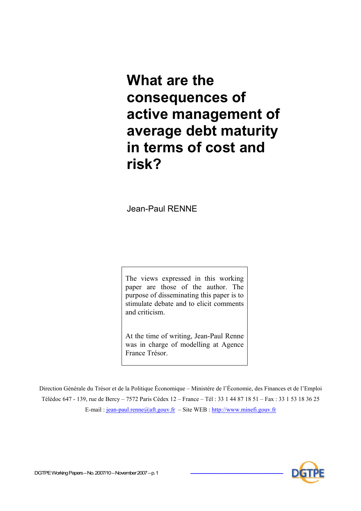## **What are the consequences of active management of average debt maturity in terms of cost and risk?**

Jean-Paul RENNE

The views expressed in this working paper are those of the author. The purpose of disseminating this paper is to stimulate debate and to elicit comments and criticism.

At the time of writing, Jean-Paul Renne was in charge of modelling at Agence France Trésor.

Direction Générale du Trésor et de la Politique Économique – Ministère de l'Économie, des Finances et de l'Emploi Télédoc 647 - 139, rue de Bercy – 7572 Paris Cédex 12 – France – Tél : 33 1 44 87 18 51 – Fax : 33 1 53 18 36 25 E-mail:  $jean-paul.renne@aft.gouv.fr - Site WEB: <http://www.minefi.gouv.fr>$ </u>

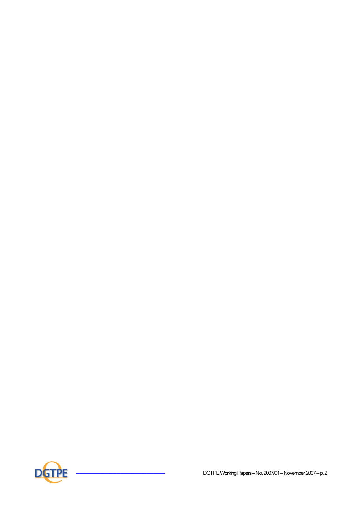

**\_\_\_\_\_\_\_\_\_\_\_\_\_\_\_\_\_\_\_\_\_\_\_\_** DGTPE Working Papers – No. 2007/01 – November 2007 – p. 2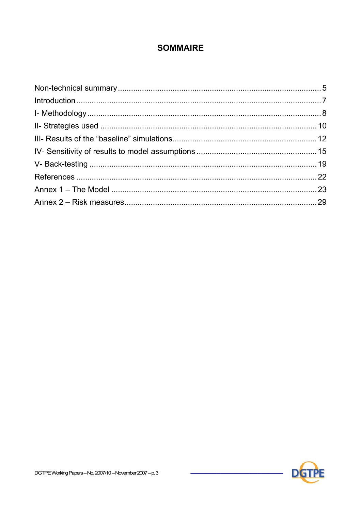## **SOMMAIRE**

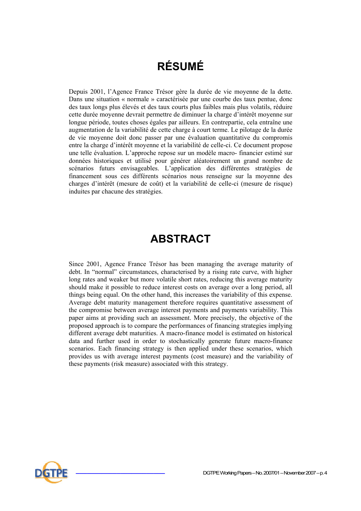## **RÉSUMÉ**

Depuis 2001, l'Agence France Trésor gère la durée de vie moyenne de la dette. Dans une situation « normale » caractérisée par une courbe des taux pentue, donc des taux longs plus élevés et des taux courts plus faibles mais plus volatils, réduire cette durée moyenne devrait permettre de diminuer la charge d'intérêt moyenne sur longue période, toutes choses égales par ailleurs. En contrepartie, cela entraîne une augmentation de la variabilité de cette charge à court terme. Le pilotage de la durée de vie moyenne doit donc passer par une évaluation quantitative du compromis entre la charge d'intérêt moyenne et la variabilité de celle-ci. Ce document propose une telle évaluation. L'approche repose sur un modèle macro- financier estimé sur données historiques et utilisé pour générer aléatoirement un grand nombre de scénarios futurs envisageables. L'application des différentes stratégies de financement sous ces différents scénarios nous renseigne sur la moyenne des charges d'intérêt (mesure de coût) et la variabilité de celle-ci (mesure de risque) induites par chacune des stratégies.

## **ABSTRACT**

Since 2001, Agence France Trésor has been managing the average maturity of debt. In "normal" circumstances, characterised by a rising rate curve, with higher long rates and weaker but more volatile short rates, reducing this average maturity should make it possible to reduce interest costs on average over a long period, all things being equal. On the other hand, this increases the variability of this expense. Average debt maturity management therefore requires quantitative assessment of the compromise between average interest payments and payments variability. This paper aims at providing such an assessment. More precisely, the objective of the proposed approach is to compare the performances of financing strategies implying different average debt maturities. A macro-finance model is estimated on historical data and further used in order to stochastically generate future macro-finance scenarios. Each financing strategy is then applied under these scenarios, which provides us with average interest payments (cost measure) and the variability of these payments (risk measure) associated with this strategy.

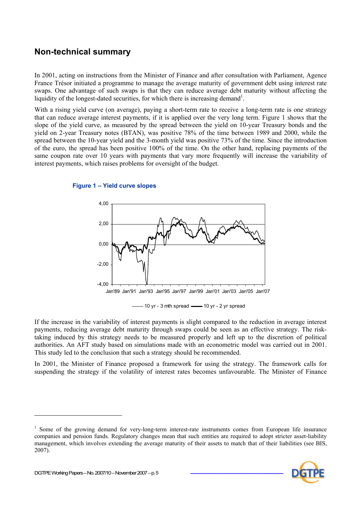### **Non-technical summary**

In 2001, acting on instructions from the Minister of Finance and after consultation with Parliament, Agence France Trésor initiated a programme to manage the average maturity of government debt using interest rate swaps. One advantage of such swaps is that they can reduce average debt maturity without affecting the liquidity of the longest-dated securities, for which there is increasing demand<sup>1</sup>.

With a rising yield curve (on average), paying a short-term rate to receive a long-term rate is one strategy that can reduce average interest payments, if it is applied over the very long term. Figure 1 shows that the slope of the yield curve, as measured by the spread between the yield on 10-year Treasury bonds and the yield on 2-year Treasury notes (BTAN), was positive 78% of the time between 1989 and 2000, while the spread between the 10-year yield and the 3-month yield was positive 73% of the time. Since the introduction of the euro, the spread has been positive 100% of the time. On the other hand, replacing payments of the same coupon rate over 10 years with payments that vary more frequently will increase the variability of interest payments, which raises problems for oversight of the budget.



#### **Figure 1 – Yield curve slopes**

If the increase in the variability of interest payments is slight compared to the reduction in average interest payments, reducing average debt maturity through swaps could be seen as an effective strategy. The risktaking induced by this strategy needs to be measured properly and left up to the discretion of political authorities. An AFT study based on simulations made with an econometric model was carried out in 2001. This study led to the conclusion that such a strategy should be recommended.

In 2001, the Minister of Finance proposed a framework for using the strategy. The framework calls for suspending the strategy if the volatility of interest rates becomes unfavourable. The Minister of Finance

<sup>&</sup>lt;sup>1</sup> Some of the growing demand for very-long-term interest-rate instruments comes from European life insurance companies and pension funds. Regulatory changes mean that such entities are required to adopt stricter asset-liability management, which involves extending the average maturity of their assets to match that of their liabilities (see BIS, 2007).

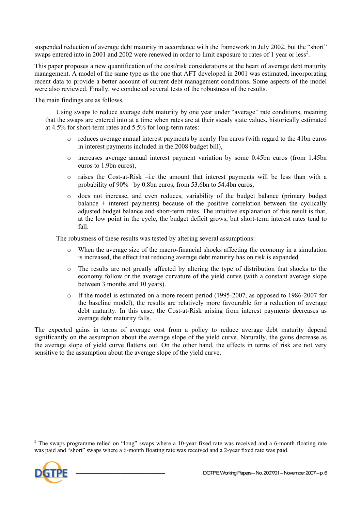suspended reduction of average debt maturity in accordance with the framework in July 2002, but the "short" swaps entered into in 2001 and 2002 were renewed in order to limit exposure to rates of 1 year or less<sup>2</sup>.

This paper proposes a new quantification of the cost/risk considerations at the heart of average debt maturity management. A model of the same type as the one that AFT developed in 2001 was estimated, incorporating recent data to provide a better account of current debt management conditions. Some aspects of the model were also reviewed. Finally, we conducted several tests of the robustness of the results.

The main findings are as follows.

Using swaps to reduce average debt maturity by one year under "average" rate conditions, meaning that the swaps are entered into at a time when rates are at their steady state values, historically estimated at 4.5% for short-term rates and 5.5% for long-term rates:

- o reduces average annual interest payments by nearly 1bn euros (with regard to the 41bn euros in interest payments included in the 2008 budget bill),
- o increases average annual interest payment variation by some 0.45bn euros (from 1.45bn euros to 1.9bn euros),
- o raises the Cost-at-Risk –i.e the amount that interest payments will be less than with a probability of 90%– by 0.8bn euros, from 53.6bn to 54.4bn euros,
- o does not increase, and even reduces, variability of the budget balance (primary budget balance + interest payments) because of the positive correlation between the cyclically adjusted budget balance and short-term rates. The intuitive explanation of this result is that, at the low point in the cycle, the budget deficit grows, but short-term interest rates tend to fall.

The robustness of these results was tested by altering several assumptions:

- $\circ$  When the average size of the macro-financial shocks affecting the economy in a simulation is increased, the effect that reducing average debt maturity has on risk is expanded.
- o The results are not greatly affected by altering the type of distribution that shocks to the economy follow or the average curvature of the yield curve (with a constant average slope between 3 months and 10 years).
- o If the model is estimated on a more recent period (1995-2007, as opposed to 1986-2007 for the baseline model), the results are relatively more favourable for a reduction of average debt maturity. In this case, the Cost-at-Risk arising from interest payments decreases as average debt maturity falls.

The expected gains in terms of average cost from a policy to reduce average debt maturity depend significantly on the assumption about the average slope of the yield curve. Naturally, the gains decrease as the average slope of yield curve flattens out. On the other hand, the effects in terms of risk are not very sensitive to the assumption about the average slope of the yield curve.

 $2$  The swaps programme relied on "long" swaps where a 10-year fixed rate was received and a 6-month floating rate was paid and "short" swaps where a 6-month floating rate was received and a 2-year fixed rate was paid.



 $\overline{\phantom{a}}$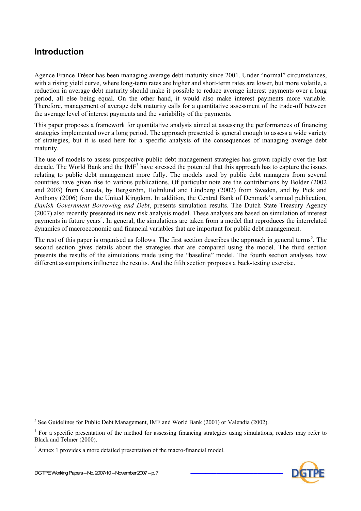## **Introduction**

Agence France Trésor has been managing average debt maturity since 2001. Under "normal" circumstances, with a rising yield curve, where long-term rates are higher and short-term rates are lower, but more volatile, a reduction in average debt maturity should make it possible to reduce average interest payments over a long period, all else being equal. On the other hand, it would also make interest payments more variable. Therefore, management of average debt maturity calls for a quantitative assessment of the trade-off between the average level of interest payments and the variability of the payments.

This paper proposes a framework for quantitative analysis aimed at assessing the performances of financing strategies implemented over a long period. The approach presented is general enough to assess a wide variety of strategies, but it is used here for a specific analysis of the consequences of managing average debt maturity.

The use of models to assess prospective public debt management strategies has grown rapidly over the last decade. The World Bank and the IMF<sup>3</sup> have stressed the potential that this approach has to capture the issues relating to public debt management more fully. The models used by public debt managers from several countries have given rise to various publications. Of particular note are the contributions by Bolder (2002 and 2003) from Canada, by Bergström, Holmlund and Lindberg (2002) from Sweden, and by Pick and Anthony (2006) from the United Kingdom. In addition, the Central Bank of Denmark's annual publication, *Danish Government Borrowing and Debt*, presents simulation results. The Dutch State Treasury Agency (2007) also recently presented its new risk analysis model. These analyses are based on simulation of interest payments in future years<sup>4</sup>. In general, the simulations are taken from a model that reproduces the interrelated dynamics of macroeconomic and financial variables that are important for public debt management.

The rest of this paper is organised as follows. The first section describes the approach in general terms<sup>5</sup>. The second section gives details about the strategies that are compared using the model. The third section presents the results of the simulations made using the "baseline" model. The fourth section analyses how different assumptions influence the results. And the fifth section proposes a back-testing exercise.

<sup>&</sup>lt;sup>3</sup> See Guidelines for Public Debt Management, IMF and World Bank (2001) or Valendia (2002).

<sup>&</sup>lt;sup>4</sup> For a specific presentation of the method for assessing financing strategies using simulations, readers may refer to Black and Telmer (2000).

<sup>&</sup>lt;sup>5</sup> Annex 1 provides a more detailed presentation of the macro-financial model.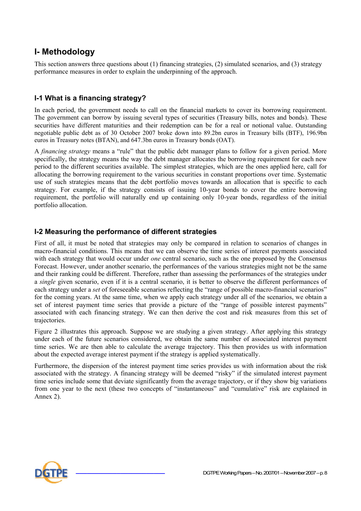## **I- Methodology**

This section answers three questions about (1) financing strategies, (2) simulated scenarios, and (3) strategy performance measures in order to explain the underpinning of the approach.

#### **I-1 What is a financing strategy?**

In each period, the government needs to call on the financial markets to cover its borrowing requirement. The government can borrow by issuing several types of securities (Treasury bills, notes and bonds). These securities have different maturities and their redemption can be for a real or notional value. Outstanding negotiable public debt as of 30 October 2007 broke down into 89.2bn euros in Treasury bills (BTF), 196.9bn euros in Treasury notes (BTAN), and 647.3bn euros in Treasury bonds (OAT).

A *financing strategy* means a "rule" that the public debt manager plans to follow for a given period. More specifically, the strategy means the way the debt manager allocates the borrowing requirement for each new period to the different securities available. The simplest strategies, which are the ones applied here, call for allocating the borrowing requirement to the various securities in constant proportions over time. Systematic use of such strategies means that the debt portfolio moves towards an allocation that is specific to each strategy. For example, if the strategy consists of issuing 10-year bonds to cover the entire borrowing requirement, the portfolio will naturally end up containing only 10-year bonds, regardless of the initial portfolio allocation.

#### **I-2 Measuring the performance of different strategies**

First of all, it must be noted that strategies may only be compared in relation to scenarios of changes in macro-financial conditions. This means that we can observe the time series of interest payments associated with each strategy that would occur under *one* central scenario, such as the one proposed by the Consensus Forecast. However, under another scenario, the performances of the various strategies might not be the same and their ranking could be different. Therefore, rather than assessing the performances of the strategies under a *single* given scenario, even if it is a central scenario, it is better to observe the different performances of each strategy under a *set* of foreseeable scenarios reflecting the "range of possible macro-financial scenarios" for the coming years. At the same time, when we apply each strategy under all of the scenarios, we obtain a set of interest payment time series that provide a picture of the "range of possible interest payments" associated with each financing strategy. We can then derive the cost and risk measures from this set of trajectories.

Figure 2 illustrates this approach. Suppose we are studying a given strategy. After applying this strategy under each of the future scenarios considered, we obtain the same number of associated interest payment time series. We are then able to calculate the average trajectory. This then provides us with information about the expected average interest payment if the strategy is applied systematically.

Furthermore, the dispersion of the interest payment time series provides us with information about the risk associated with the strategy. A financing strategy will be deemed "risky" if the simulated interest payment time series include some that deviate significantly from the average trajectory, or if they show big variations from one year to the next (these two concepts of "instantaneous" and "cumulative" risk are explained in Annex 2).

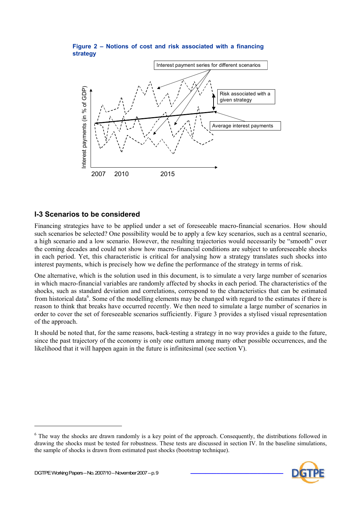



#### **I-3 Scenarios to be considered**

Financing strategies have to be applied under a set of foreseeable macro-financial scenarios. How should such scenarios be selected? One possibility would be to apply a few key scenarios, such as a central scenario, a high scenario and a low scenario. However, the resulting trajectories would necessarily be "smooth" over the coming decades and could not show how macro-financial conditions are subject to unforeseeable shocks in each period. Yet, this characteristic is critical for analysing how a strategy translates such shocks into interest payments, which is precisely how we define the performance of the strategy in terms of risk.

One alternative, which is the solution used in this document, is to simulate a very large number of scenarios in which macro-financial variables are randomly affected by shocks in each period. The characteristics of the shocks, such as standard deviation and correlations, correspond to the characteristics that can be estimated from historical data<sup>6</sup>. Some of the modelling elements may be changed with regard to the estimates if there is reason to think that breaks have occurred recently. We then need to simulate a large number of scenarios in order to cover the set of foreseeable scenarios sufficiently. Figure 3 provides a stylised visual representation of the approach.

It should be noted that, for the same reasons, back-testing a strategy in no way provides a guide to the future, since the past trajectory of the economy is only one outturn among many other possible occurrences, and the likelihood that it will happen again in the future is infinitesimal (see section V).

<sup>&</sup>lt;sup>6</sup> The way the shocks are drawn randomly is a key point of the approach. Consequently, the distributions followed in drawing the shocks must be tested for robustness. These tests are discussed in section IV. In the baseline simulations, the sample of shocks is drawn from estimated past shocks (bootstrap technique).

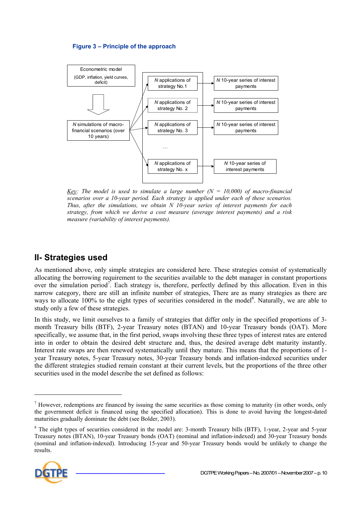#### **Figure 3 – Principle of the approach**



*Key: The model is used to simulate a large number*  $(N = 10,000)$  *of macro-financial scenarios over a 10-year period. Each strategy is applied under each of these scenarios. Thus, after the simulations, we obtain N 10-year series of interest payments for each strategy, from which we derive a cost measure (average interest payments) and a risk measure (variability of interest payments).* 

## **II- Strategies used**

As mentioned above, only simple strategies are considered here. These strategies consist of systematically allocating the borrowing requirement to the securities available to the debt manager in constant proportions over the simulation period<sup>7</sup>. Each strategy is, therefore, perfectly defined by this allocation. Even in this narrow category, there are still an infinite number of strategies, There are as many strategies as there are ways to allocate  $100\%$  to the eight types of securities considered in the model<sup>8</sup>. Naturally, we are able to study only a few of these strategies.

In this study, we limit ourselves to a family of strategies that differ only in the specified proportions of 3 month Treasury bills (BTF), 2-year Treasury notes (BTAN) and 10-year Treasury bonds (OAT). More specifically, we assume that, in the first period, swaps involving these three types of interest rates are entered into in order to obtain the desired debt structure and, thus, the desired average debt maturity instantly. Interest rate swaps are then renewed systematically until they mature. This means that the proportions of 1 year Treasury notes, 5-year Treasury notes, 30-year Treasury bonds and inflation-indexed securities under the different strategies studied remain constant at their current levels, but the proportions of the three other securities used in the model describe the set defined as follows:

<sup>&</sup>lt;sup>8</sup> The eight types of securities considered in the model are: 3-month Treasury bills (BTF), 1-year, 2-year and 5-year Treasury notes (BTAN), 10-year Treasury bonds (OAT) (nominal and inflation-indexed) and 30-year Treasury bonds (nominal and inflation-indexed). Introducing 15-year and 50-year Treasury bonds would be unlikely to change the results.



 $<sup>7</sup>$  However, redemptions are financed by issuing the same securities as those coming to maturity (in other words, only</sup> the government deficit is financed using the specified allocation). This is done to avoid having the longest-dated maturities gradually dominate the debt (see Bolder, 2003).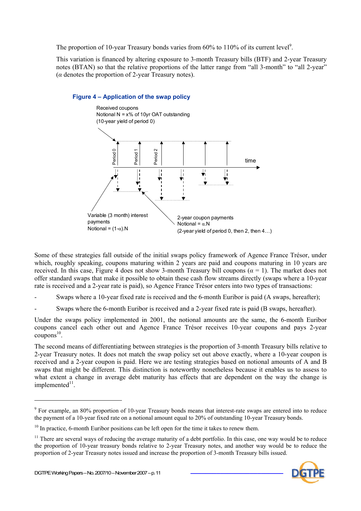The proportion of 10-year Treasury bonds varies from  $60\%$  to 110% of its current level<sup>9</sup>.

This variation is financed by altering exposure to 3-month Treasury bills (BTF) and 2-year Treasury notes (BTAN) so that the relative proportions of the latter range from "all 3-month" to "all 2-year" (*α* denotes the proportion of 2-year Treasury notes).



Some of these strategies fall outside of the initial swaps policy framework of Agence France Trésor, under which, roughly speaking, coupons maturing within 2 years are paid and coupons maturing in 10 years are received. In this case, Figure 4 does not show 3-month Treasury bill coupons (*α* = 1). The market does not offer standard swaps that make it possible to obtain these cash flow streams directly (swaps where a 10-year rate is received and a 2-year rate is paid), so Agence France Trésor enters into two types of transactions:

- Swaps where a 10-year fixed rate is received and the 6-month Euribor is paid (A swaps, hereafter);
- Swaps where the 6-month Euribor is received and a 2-year fixed rate is paid (B swaps, hereafter).

Under the swaps policy implemented in 2001, the notional amounts are the same, the 6-month Euribor coupons cancel each other out and Agence France Trésor receives 10-year coupons and pays 2-year  $coupons<sup>10</sup>$ .

The second means of differentiating between strategies is the proportion of 3-month Treasury bills relative to 2-year Treasury notes. It does not match the swap policy set out above exactly, where a 10-year coupon is received and a 2-year coupon is paid. Here we are testing strategies based on notional amounts of A and B swaps that might be different. This distinction is noteworthy nonetheless because it enables us to assess to what extent a change in average debt maturity has effects that are dependent on the way the change is  $implemented<sup>11</sup>$ .

<sup>&</sup>lt;sup>9</sup> For example, an 80% proportion of 10-year Treasury bonds means that interest-rate swaps are entered into to reduce the payment of a 10-year fixed rate on a notional amount equal to 20% of outstanding 10-year Treasury bonds.

 $10$  In practice, 6-month Euribor positions can be left open for the time it takes to renew them.

 $11$  There are several ways of reducing the average maturity of a debt portfolio. In this case, one way would be to reduce the proportion of 10-year treasury bonds relative to 2-year Treasury notes, and another way would be to reduce the proportion of 2-year Treasury notes issued and increase the proportion of 3-month Treasury bills issued.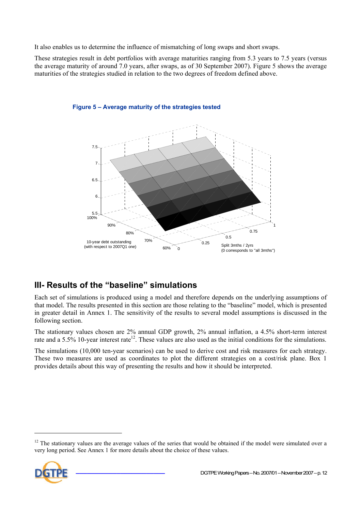It also enables us to determine the influence of mismatching of long swaps and short swaps.

These strategies result in debt portfolios with average maturities ranging from 5.3 years to 7.5 years (versus the average maturity of around 7.0 years, after swaps, as of 30 September 2007). Figure 5 shows the average maturities of the strategies studied in relation to the two degrees of freedom defined above.



**Figure 5 – Average maturity of the strategies tested** 

## **III- Results of the "baseline" simulations**

Each set of simulations is produced using a model and therefore depends on the underlying assumptions of that model. The results presented in this section are those relating to the "baseline" model, which is presented in greater detail in Annex 1. The sensitivity of the results to several model assumptions is discussed in the following section.

The stationary values chosen are 2% annual GDP growth, 2% annual inflation, a 4.5% short-term interest rate and a 5.5% 10-year interest rate<sup>12</sup>. These values are also used as the initial conditions for the simulations.

The simulations (10,000 ten-year scenarios) can be used to derive cost and risk measures for each strategy. These two measures are used as coordinates to plot the different strategies on a cost/risk plane. Box 1 provides details about this way of presenting the results and how it should be interpreted.

 $12$  The stationary values are the average values of the series that would be obtained if the model were simulated over a very long period. See Annex 1 for more details about the choice of these values.



 $\overline{\phantom{a}}$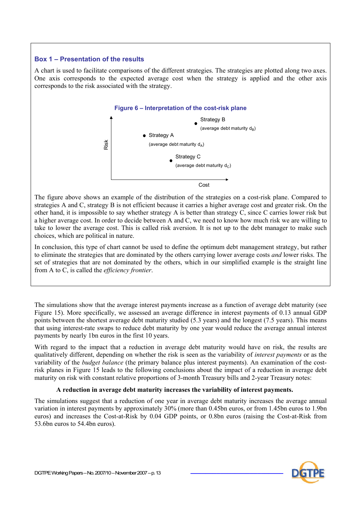#### **Box 1 – Presentation of the results**

A chart is used to facilitate comparisons of the different strategies. The strategies are plotted along two axes. One axis corresponds to the expected average cost when the strategy is applied and the other axis corresponds to the risk associated with the strategy.



The figure above shows an example of the distribution of the strategies on a cost-risk plane. Compared to strategies A and C, strategy B is not efficient because it carries a higher average cost and greater risk. On the other hand, it is impossible to say whether strategy A is better than strategy C, since C carries lower risk but a higher average cost. In order to decide between A and C, we need to know how much risk we are willing to take to lower the average cost. This is called risk aversion. It is not up to the debt manager to make such choices, which are political in nature.

In conclusion, this type of chart cannot be used to define the optimum debt management strategy, but rather to eliminate the strategies that are dominated by the others carrying lower average costs *and* lower risks. The set of strategies that are not dominated by the others, which in our simplified example is the straight line from A to C, is called the *efficiency frontier*.

The simulations show that the average interest payments increase as a function of average debt maturity (see Figure 15). More specifically, we assessed an average difference in interest payments of 0.13 annual GDP points between the shortest average debt maturity studied (5.3 years) and the longest (7.5 years). This means that using interest-rate swaps to reduce debt maturity by one year would reduce the average annual interest payments by nearly 1bn euros in the first 10 years.

With regard to the impact that a reduction in average debt maturity would have on risk, the results are qualitatively different, depending on whether the risk is seen as the variability of *interest payments* or as the variability of the *budget balance* (the primary balance plus interest payments). An examination of the costrisk planes in Figure 15 leads to the following conclusions about the impact of a reduction in average debt maturity on risk with constant relative proportions of 3-month Treasury bills and 2-year Treasury notes:

#### **A reduction in average debt maturity increases the variability of interest payments.**

The simulations suggest that a reduction of one year in average debt maturity increases the average annual variation in interest payments by approximately 30% (more than 0.45bn euros, or from 1.45bn euros to 1.9bn euros) and increases the Cost-at-Risk by 0.04 GDP points, or 0.8bn euros (raising the Cost-at-Risk from 53.6bn euros to 54.4bn euros).

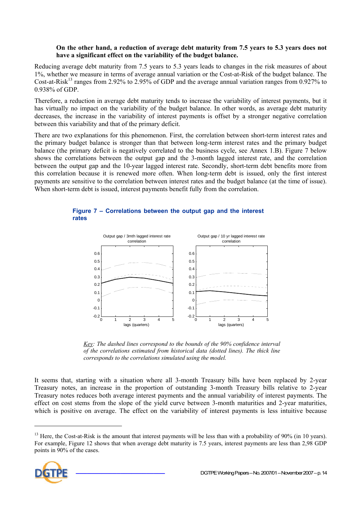#### **On the other hand, a reduction of average debt maturity from 7.5 years to 5.3 years does not have a significant effect on the variability of the budget balance.**

Reducing average debt maturity from 7.5 years to 5.3 years leads to changes in the risk measures of about 1%, whether we measure in terms of average annual variation or the Cost-at-Risk of the budget balance. The Cost-at-Risk<sup>13</sup> ranges from 2.92% to 2.95% of GDP and the average annual variation ranges from 0.927% to 0.938% of GDP.

Therefore, a reduction in average debt maturity tends to increase the variability of interest payments, but it has virtually no impact on the variability of the budget balance. In other words, as average debt maturity decreases, the increase in the variability of interest payments is offset by a stronger negative correlation between this variability and that of the primary deficit.

There are two explanations for this phenomenon. First, the correlation between short-term interest rates and the primary budget balance is stronger than that between long-term interest rates and the primary budget balance (the primary deficit is negatively correlated to the business cycle, see Annex 1.B). Figure 7 below shows the correlations between the output gap and the 3-month lagged interest rate, and the correlation between the output gap and the 10-year lagged interest rate. Secondly, short-term debt benefits more from this correlation because it is renewed more often. When long-term debt is issued, only the first interest payments are sensitive to the correlation between interest rates and the budget balance (at the time of issue). When short-term debt is issued, interest payments benefit fully from the correlation.





*Key: The dashed lines correspond to the bounds of the 90% confidence interval of the correlations estimated from historical data (dotted lines). The thick line corresponds to the correlations simulated using the model.* 

It seems that, starting with a situation where all 3-month Treasury bills have been replaced by 2-year Treasury notes, an increase in the proportion of outstanding 3-month Treasury bills relative to 2-year Treasury notes reduces both average interest payments and the annual variability of interest payments. The effect on cost stems from the slope of the yield curve between 3-month maturities and 2-year maturities, which is positive on average. The effect on the variability of interest payments is less intuitive because

<sup>&</sup>lt;sup>13</sup> Here, the Cost-at-Risk is the amount that interest payments will be less than with a probability of 90% (in 10 years). For example, Figure 12 shows that when average debt maturity is 7.5 years, interest payments are less than 2,98 GDP points in 90% of the cases.

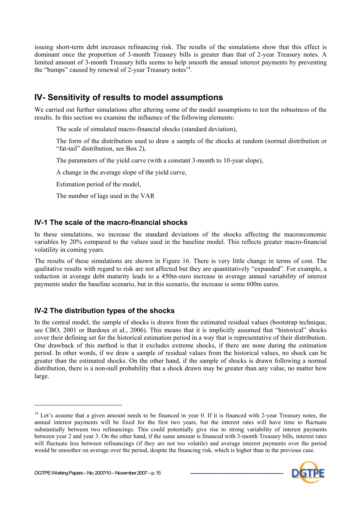issuing short-term debt increases refinancing risk. The results of the simulations show that this effect is dominant once the proportion of 3-month Treasury bills is greater than that of 2-year Treasury notes. A limited amount of 3-month Treasury bills seems to help smooth the annual interest payments by preventing the "bumps" caused by renewal of 2-year Treasury notes $^{14}$ .

## **IV- Sensitivity of results to model assumptions**

We carried out further simulations after altering some of the model assumptions to test the robustness of the results. In this section we examine the influence of the following elements:

The scale of simulated macro-financial shocks (standard deviation),

The form of the distribution used to draw a sample of the shocks at random (normal distribution or "fat-tail" distribution, see Box 2),

The parameters of the yield curve (with a constant 3-month to 10-year slope),

A change in the average slope of the yield curve,

Estimation period of the model,

The number of lags used in the VAR

#### **IV-1 The scale of the macro-financial shocks**

In these simulations, we increase the standard deviations of the shocks affecting the macroeconomic variables by 20% compared to the values used in the baseline model. This reflects greater macro-financial volatility in coming years.

The results of these simulations are shown in Figure 16. There is very little change in terms of cost. The qualitative results with regard to risk are not affected but they are quantitatively "expanded". For example, a reduction in average debt maturity leads to a 450m-euro increase in average annual variability of interest payments under the baseline scenario, but in this scenario, the increase is some 600m euros.

#### **IV-2 The distribution types of the shocks**

In the central model, the sample of shocks is drawn from the estimated residual values (bootstrap technique, see CBO, 2001 or Bardoux et al., 2006). This means that it is implicitly assumed that "historical" shocks cover their defining set for the historical estimation period in a way that is representative of their distribution. One drawback of this method is that it excludes extreme shocks, if there are none during the estimation period. In other words, if we draw a sample of residual values from the historical values, no shock can be greater than the estimated shocks. On the other hand, if the sample of shocks is drawn following a normal distribution, there is a non-null probability that a shock drawn may be greater than any value, no matter how large.

 $14$  Let's assume that a given amount needs to be financed in year 0. If it is financed with 2-year Treasury notes, the annual interest payments will be fixed for the first two years, but the interest rates will have time to fluctuate substantially between two refinancings. This could potentially give rise to strong variability of interest payments between year 2 and year 3. On the other hand, if the same amount is financed with 3-month Treasury bills, interest rates will fluctuate less between refinancings (if they are not too volatile) and average interest payments over the period would be smoother on average over the period, despite the financing risk, which is higher than in the previous case.

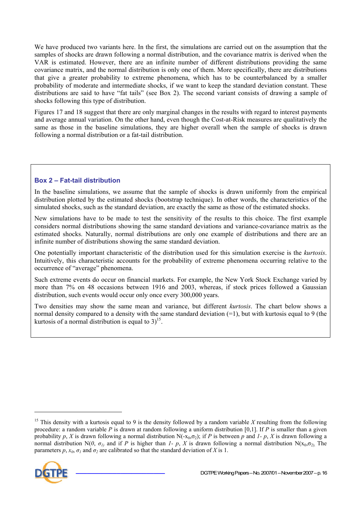We have produced two variants here. In the first, the simulations are carried out on the assumption that the samples of shocks are drawn following a normal distribution, and the covariance matrix is derived when the VAR is estimated. However, there are an infinite number of different distributions providing the same covariance matrix, and the normal distribution is only one of them. More specifically, there are distributions that give a greater probability to extreme phenomena, which has to be counterbalanced by a smaller probability of moderate and intermediate shocks, if we want to keep the standard deviation constant. These distributions are said to have "fat tails" (see Box 2). The second variant consists of drawing a sample of shocks following this type of distribution.

Figures 17 and 18 suggest that there are only marginal changes in the results with regard to interest payments and average annual variation. On the other hand, even though the Cost-at-Risk measures are qualitatively the same as those in the baseline simulations, they are higher overall when the sample of shocks is drawn following a normal distribution or a fat-tail distribution.

#### **Box 2 – Fat-tail distribution**

In the baseline simulations, we assume that the sample of shocks is drawn uniformly from the empirical distribution plotted by the estimated shocks (bootstrap technique). In other words, the characteristics of the simulated shocks, such as the standard deviation, are exactly the same as those of the estimated shocks.

New simulations have to be made to test the sensitivity of the results to this choice. The first example considers normal distributions showing the same standard deviations and variance-covariance matrix as the estimated shocks. Naturally, normal distributions are only one example of distributions and there are an infinite number of distributions showing the same standard deviation.

One potentially important characteristic of the distribution used for this simulation exercise is the *kurtosis*. Intuitively, this characteristic accounts for the probability of extreme phenomena occurring relative to the occurrence of "average" phenomena.

Such extreme events do occur on financial markets. For example, the New York Stock Exchange varied by more than 7% on 48 occasions between 1916 and 2003, whereas, if stock prices followed a Gaussian distribution, such events would occur only once every 300,000 years.

Two densities may show the same mean and variance, but different *kurtosis*. The chart below shows a normal density compared to a density with the same standard deviation (=1), but with kurtosis equal to 9 (the kurtosis of a normal distribution is equal to  $3^{15}$ .

<sup>&</sup>lt;sup>15</sup> This density with a kurtosis equal to 9 is the density followed by a random variable *X* resulting from the following procedure: a random variable *P* is drawn at random following a uniform distribution [0,1]. If *P* is smaller than a given probability *p*, *X* is drawn following a normal distribution N(-x<sub>0</sub>, $\sigma$ <sub>2</sub>); if *P* is between *p* and *I*- *p*, *X* is drawn following a normal distribution N( $0$ ,  $\sigma$ <sub>*i*)</sub> and if *P* is higher than *1- p*, *X* is drawn following a normal distribution N(x<sub>0</sub>, $\sigma$ <sub>2</sub>). The parameters  $p, x_0, \sigma_1$  and  $\sigma_2$  are calibrated so that the standard deviation of *X* is 1.



 $\overline{\phantom{a}}$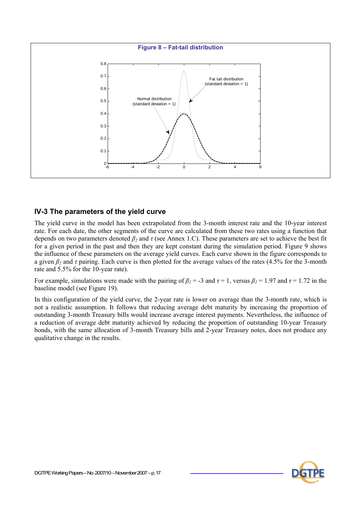

#### **IV-3 The parameters of the yield curve**

The yield curve in the model has been extrapolated from the 3-month interest rate and the 10-year interest rate. For each date, the other segments of the curve are calculated from these two rates using a function that depends on two parameters denoted *β2* and *τ* (see Annex 1.C). These parameters are set to achieve the best fit for a given period in the past and then they are kept constant during the simulation period. Figure 9 shows the influence of these parameters on the average yield curves. Each curve shown in the figure corresponds to a given *β2* and *τ* pairing. Each curve is then plotted for the average values of the rates (4.5% for the 3-month rate and 5.5% for the 10-year rate).

For example, simulations were made with the pairing of  $\beta_2 = -3$  and  $\tau = 1$ , versus  $\beta_2 = 1.97$  and  $\tau = 1.72$  in the baseline model (see Figure 19).

In this configuration of the yield curve, the 2-year rate is lower on average than the 3-month rate, which is not a realistic assumption. It follows that reducing average debt maturity by increasing the proportion of outstanding 3-month Treasury bills would increase average interest payments. Nevertheless, the influence of a reduction of average debt maturity achieved by reducing the proportion of outstanding 10-year Treasury bonds, with the same allocation of 3-month Treasury bills and 2-year Treasury notes, does not produce any qualitative change in the results.

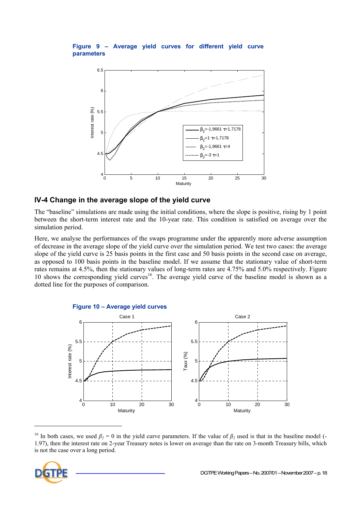**Figure 9 – Average yield curves for different yield curve parameters** 



#### **IV-4 Change in the average slope of the yield curve**

The "baseline" simulations are made using the initial conditions, where the slope is positive, rising by 1 point between the short-term interest rate and the 10-year rate. This condition is satisfied on average over the simulation period.

Here, we analyse the performances of the swaps programme under the apparently more adverse assumption of decrease in the average slope of the yield curve over the simulation period. We test two cases: the average slope of the yield curve is 25 basis points in the first case and 50 basis points in the second case on average, as opposed to 100 basis points in the baseline model. If we assume that the stationary value of short-term rates remains at 4.5%, then the stationary values of long-term rates are 4.75% and 5.0% respectively. Figure 10 shows the corresponding yield curves<sup>16</sup>. The average yield curve of the baseline model is shown as a dotted line for the purposes of comparison.



<sup>&</sup>lt;sup>16</sup> In both cases, we used  $\beta$ <sup>2</sup> = 0 in the yield curve parameters. If the value of  $\beta$ <sup>2</sup> used is that in the baseline model (-1.97), then the interest rate on 2-year Treasury notes is lower on average than the rate on 3-month Treasury bills, which is not the case over a long period.

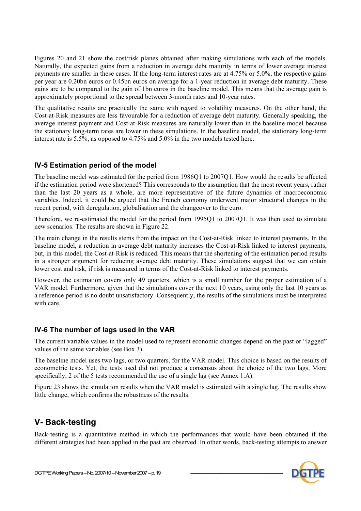Figures 20 and 21 show the cost/risk planes obtained after making simulations with each of the models. Naturally, the expected gains from a reduction in average debt maturity in terms of lower average interest payments are smaller in these cases. If the long-term interest rates are at 4.75% or 5.0%, the respective gains per year are 0.20bn euros or 0.45bn euros on average for a 1-year reduction in average debt maturity. These gains are to be compared to the gain of 1bn euros in the baseline model. This means that the average gain is approximately proportional to the spread between 3-month rates and 10-year rates.

The qualitative results are practically the same with regard to volatility measures. On the other hand, the Cost-at-Risk measures are less favourable for a reduction of average debt maturity. Generally speaking, the average interest payment and Cost-at-Risk measures are naturally lower than in the baseline model because the stationary long-term rates are lower in these simulations. In the baseline model, the stationary long-term interest rate is 5.5%, as opposed to 4.75% and 5.0% in the two models tested here.

#### **IV-5 Estimation period of the model**

The baseline model was estimated for the period from 1986Q1 to 2007Q1. How would the results be affected if the estimation period were shortened? This corresponds to the assumption that the most recent years, rather than the last 20 years as a whole, are more representative of the future dynamics of macroeconomic variables. Indeed, it could be argued that the French economy underwent major structural changes in the recent period, with deregulation, globalisation and the changeover to the euro.

Therefore, we re-estimated the model for the period from 1995Q1 to 2007Q1. It was then used to simulate new scenarios. The results are shown in Figure 22.

The main change in the results stems from the impact on the Cost-at-Risk linked to interest payments. In the baseline model, a reduction in average debt maturity increases the Cost-at-Risk linked to interest payments, but, in this model, the Cost-at-Risk is reduced. This means that the shortening of the estimation period results in a stronger argument for reducing average debt maturity. These simulations suggest that we can obtain lower cost and risk, if risk is measured in terms of the Cost-at-Risk linked to interest payments.

However, the estimation covers only 49 quarters, which is a small number for the proper estimation of a VAR model. Furthermore, given that the simulations cover the next 10 years, using only the last 10 years as a reference period is no doubt unsatisfactory. Consequently, the results of the simulations must be interpreted with care.

#### **IV-6 The number of lags used in the VAR**

The current variable values in the model used to represent economic changes depend on the past or "lagged" values of the same variables (see Box 3).

The baseline model uses two lags, or two quarters, for the VAR model. This choice is based on the results of econometric tests. Yet, the tests used did not produce a consensus about the choice of the two lags. More specifically, 2 of the 5 tests recommended the use of a single lag (see Annex 1.A).

Figure 23 shows the simulation results when the VAR model is estimated with a single lag. The results show little change, which confirms the robustness of the results.

## **V- Back-testing**

Back-testing is a quantitative method in which the performances that would have been obtained if the different strategies had been applied in the past are observed. In other words, back-testing attempts to answer

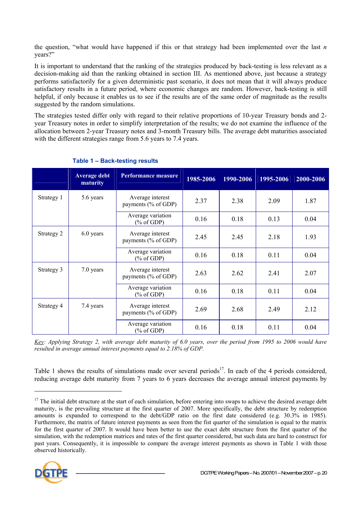the question, "what would have happened if this or that strategy had been implemented over the last *n* years?"

It is important to understand that the ranking of the strategies produced by back-testing is less relevant as a decision-making aid than the ranking obtained in section III. As mentioned above, just because a strategy performs satisfactorily for a given deterministic past scenario, it does not mean that it will always produce satisfactory results in a future period, where economic changes are random. However, back-testing is still helpful, if only because it enables us to see if the results are of the same order of magnitude as the results suggested by the random simulations.

The strategies tested differ only with regard to their relative proportions of 10-year Treasury bonds and 2 year Treasury notes in order to simplify interpretation of the results; we do not examine the influence of the allocation between 2-year Treasury notes and 3-month Treasury bills. The average debt maturities associated with the different strategies range from 5.6 years to 7.4 years.

|            | <b>Average debt</b><br>maturity | Performance measure                        | 1985-2006 | 1990-2006 | 1995-2006 | 2000-2006 |
|------------|---------------------------------|--------------------------------------------|-----------|-----------|-----------|-----------|
| Strategy 1 | 5.6 years                       | Average interest<br>payments (% of GDP)    | 2.37      | 2.38      | 2.09      | 1.87      |
|            |                                 | Average variation<br>$(\%$ of GDP)         | 0.16      | 0.18      | 0.13      | 0.04      |
| Strategy 2 | 6.0 years                       | Average interest<br>payments (% of GDP)    | 2.45      | 2.45      | 2.18      | 1.93      |
|            |                                 | Average variation<br>$(\%$ of GDP)         | 0.16      | 0.18      | 0.11      | 0.04      |
| Strategy 3 | 7.0 years                       | Average interest<br>payments (% of GDP)    | 2.63      | 2.62      | 2.41      | 2.07      |
|            |                                 | Average variation<br>$(\% \text{ of GDP})$ | 0.16      | 0.18      | 0.11      | 0.04      |
| Strategy 4 | 7.4 years                       | Average interest<br>payments (% of GDP)    | 2.69      | 2.68      | 2.49      | 2.12      |
|            |                                 | Average variation<br>$(\% \text{ of GDP})$ | 0.16      | 0.18      | 0.11      | 0.04      |

#### **Table 1 – Back-testing results**

*Key: Applying Strategy 2, with average debt maturity of 6.0 years, over the period from 1995 to 2006 would have resulted in average annual interest payments equal to 2.18% of GDP.* 

Table 1 shows the results of simulations made over several periods<sup>17</sup>. In each of the 4 periods considered, reducing average debt maturity from 7 years to 6 years decreases the average annual interest payments by

 $17$  The initial debt structure at the start of each simulation, before entering into swaps to achieve the desired average debt maturity, is the prevailing structure at the first quarter of 2007. More specifically, the debt structure by redemption amounts is expanded to correspond to the debt/GDP ratio on the first date considered (e.g. 30.3% in 1985). Furthermore, the matrix of future interest payments as seen from the fist quarter of the simulation is equal to the matrix for the first quarter of 2007. It would have been better to use the exact debt structure from the first quarter of the simulation, with the redemption matrices and rates of the first quarter considered, but such data are hard to construct for past years. Consequently, it is impossible to compare the average interest payments as shown in Table 1 with those observed historically.



 $\overline{\phantom{a}}$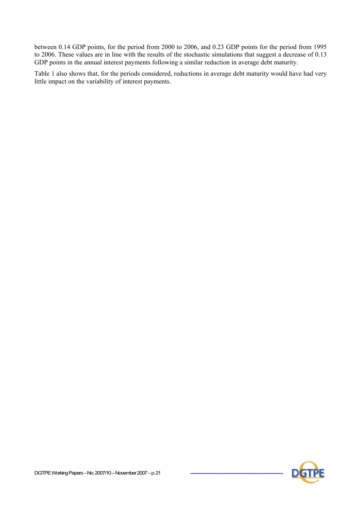between 0.14 GDP points, for the period from 2000 to 2006, and 0.23 GDP points for the period from 1995 to 2006. These values are in line with the results of the stochastic simulations that suggest a decrease of 0.13 GDP points in the annual interest payments following a similar reduction in average debt maturity.

Table 1 also shows that, for the periods considered, reductions in average debt maturity would have had very little impact on the variability of interest payments.

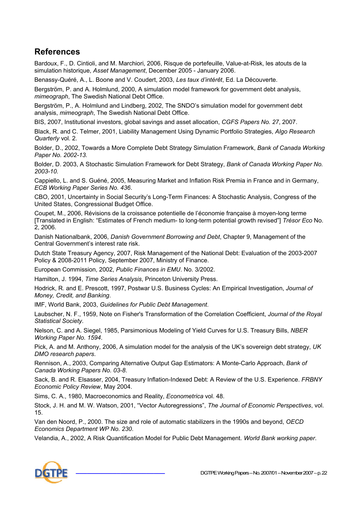## **References**

Bardoux, F., D. Cintioli, and M. Marchiori, 2006, Risque de portefeuille, Value-at-Risk, les atouts de la simulation historique, *Asset Management*, December 2005 - January 2006.

Benassy-Quéré, A., L. Boone and V. Coudert, 2003, *Les taux d'intérêt*, Ed. La Découverte.

Bergström, P. and A. Holmlund, 2000, A simulation model framework for government debt analysis, *mimeograph*, The Swedish National Debt Office.

Bergström, P., A. Holmlund and Lindberg, 2002, The SNDO's simulation model for government debt analysis, *mimeograph*, The Swedish National Debt Office.

BIS, 2007, Institutional investors, global savings and asset allocation, *CGFS Papers No. 27*, 2007.

Black, R. and C. Telmer, 2001, Liability Management Using Dynamic Portfolio Strategies, *Algo Research Quarterly* vol. 2.

Bolder, D., 2002, Towards a More Complete Debt Strategy Simulation Framework, *Bank of Canada Working Paper No. 2002-13.*

Bolder, D. 2003, A Stochastic Simulation Framework for Debt Strategy, *Bank of Canada Working Paper No. 2003-10.*

Cappiello, L. and S. Guéné, 2005, Measuring Market and Inflation Risk Premia in France and in Germany, *ECB Working Paper Series No. 436*.

CBO, 2001, Uncertainty in Social Security's Long-Term Finances: A Stochastic Analysis, Congress of the United States, Congressional Budget Office.

Coupet, M., 2006, Révisions de la croissance potentielle de l'économie française à moyen-long terme [Translated in English: "Estimates of French medium- to long-term potential growth revised"] *Trésor Eco* No. 2, 2006.

Danish Nationalbank, 2006, *Danish Government Borrowing and Debt*, Chapter 9, Management of the Central Government's interest rate risk.

Dutch State Treasury Agency, 2007, Risk Management of the National Debt: Evaluation of the 2003-2007 Policy & 2008-2011 Policy, September 2007, Ministry of Finance.

European Commission, 2002, *Public Finances in EMU*. No. 3/2002.

Hamilton, J. 1994, *Time Series Analysis*, Princeton University Press.

Hodrick, R. and E. Prescott, 1997, Postwar U.S. Business Cycles: An Empirical Investigation, *Journal of Money, Credit, and Banking*.

IMF, World Bank, 2003, *Guidelines for Public Debt Management*.

Laubscher, N. F., 1959, Note on Fisher's Transformation of the Correlation Coefficient, *Journal of the Royal Statistical Society*.

Nelson, C. and A. Siegel, 1985, Parsimonious Modeling of Yield Curves for U.S. Treasury Bills, *NBER Working Paper No. 1594*.

Pick, A. and M. Anthony, 2006, A simulation model for the analysis of the UK's sovereign debt strategy, *UK DMO research papers*.

Rennison, A., 2003, Comparing Alternative Output Gap Estimators: A Monte-Carlo Approach, *Bank of Canada Working Papers No. 03-8*.

Sack, B. and R. Elsasser, 2004, Treasury Inflation-Indexed Debt: A Review of the U.S. Experience. *FRBNY Economic Policy Review*, May 2004.

Sims, C. A., 1980, Macroeconomics and Reality, *Econometrica* vol. 48.

Stock, J. H. and M. W. Watson, 2001, "Vector Autoregressions", *The Journal of Economic Perspectives*, vol. 15.

Van den Noord, P., 2000. The size and role of automatic stabilizers in the 1990s and beyond, *OECD Economics Department WP No. 230*.

Velandia, A., 2002, A Risk Quantification Model for Public Debt Management. *World Bank working paper*.

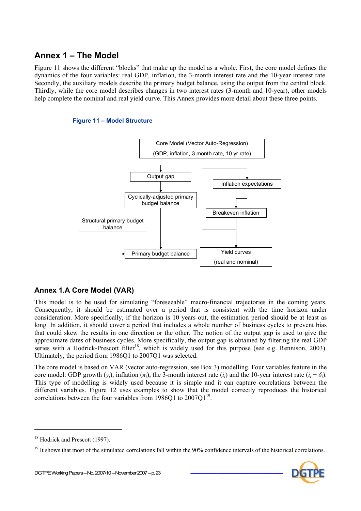## **Annex 1 – The Model**

Figure 11 shows the different "blocks" that make up the model as a whole. First, the core model defines the dynamics of the four variables: real GDP, inflation, the 3-month interest rate and the 10-year interest rate. Secondly, the auxiliary models describe the primary budget balance, using the output from the central block. Thirdly, while the core model describes changes in two interest rates (3-month and 10-year), other models help complete the nominal and real yield curve. This Annex provides more detail about these three points.

#### **Figure 11 – Model Structure**



#### **Annex 1.A Core Model (VAR)**

This model is to be used for simulating "foreseeable" macro-financial trajectories in the coming years. Consequently, it should be estimated over a period that is consistent with the time horizon under consideration. More specifically, if the horizon is 10 years out, the estimation period should be at least as long. In addition, it should cover a period that includes a whole number of business cycles to prevent bias that could skew the results in one direction or the other. The notion of the output gap is used to give the approximate dates of business cycles. More specifically, the output gap is obtained by filtering the real GDP series with a Hodrick-Prescott filter<sup>18</sup>, which is widely used for this purpose (see e.g. Rennison, 2003). Ultimately, the period from 1986Q1 to 2007Q1 was selected.

The core model is based on VAR (vector auto-regression, see Box 3) modelling. Four variables feature in the core model: GDP growth  $(y_t)$ , inflation  $(\pi_t)$ , the 3-month interest rate  $(i_t)$  and the 10-year interest rate  $(i_t + \delta_t)$ . This type of modelling is widely used because it is simple and it can capture correlations between the different variables. Figure 12 uses examples to show that the model correctly reproduces the historical correlations between the four variables from  $1986Q1$  to  $2007Q1^{19}$ .

 $\overline{\phantom{a}}$ 

<sup>&</sup>lt;sup>18</sup> Hodrick and Prescott (1997).

<sup>&</sup>lt;sup>19</sup> It shows that most of the simulated correlations fall within the 90% confidence intervals of the historical correlations.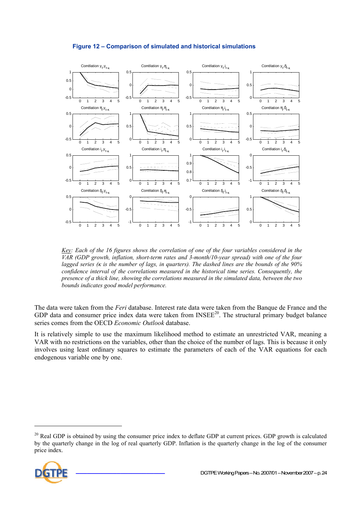

#### **Figure 12 – Comparison of simulated and historical simulations**

*Key: Each of the 16 figures shows the correlation of one of the four variables considered in the VAR (GDP growth, inflation, short-term rates and 3-month/10-year spread) with one of the four lagged series (κ is the number of lags, in quarters). The dashed lines are the bounds of the 90% confidence interval of the correlations measured in the historical time series. Consequently, the presence of a thick line, showing the correlations measured in the simulated data, between the two bounds indicates good model performance.* 

The data were taken from the *Feri* database. Interest rate data were taken from the Banque de France and the GDP data and consumer price index data were taken from INSEE<sup>20</sup>. The structural primary budget balance series comes from the OECD *Economic Outlook* database.

It is relatively simple to use the maximum likelihood method to estimate an unrestricted VAR, meaning a VAR with no restrictions on the variables, other than the choice of the number of lags. This is because it only involves using least ordinary squares to estimate the parameters of each of the VAR equations for each endogenous variable one by one.

<sup>&</sup>lt;sup>20</sup> Real GDP is obtained by using the consumer price index to deflate GDP at current prices. GDP growth is calculated by the quarterly change in the log of real quarterly GDP. Inflation is the quarterly change in the log of the consumer price index.

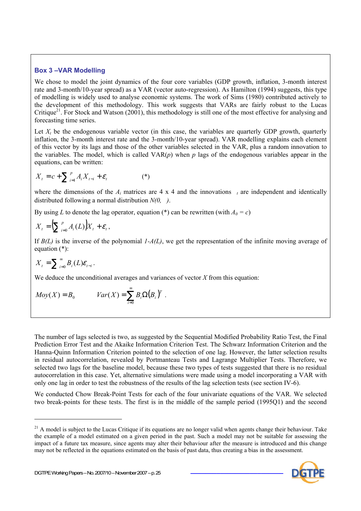#### **Box 3 –VAR Modelling**

We chose to model the joint dynamics of the four core variables (GDP growth, inflation, 3-month interest rate and 3-month/10-year spread) as a VAR (vector auto-regression). As Hamilton (1994) suggests, this type of modelling is widely used to analyse economic systems. The work of Sims (1980) contributed actively to the development of this methodology. This work suggests that VARs are fairly robust to the Lucas Critique<sup>21</sup>. For Stock and Watson (2001), this methodology is still one of the most effective for analysing and forecasting time series.

Let  $X_t$  be the endogenous variable vector (in this case, the variables are quarterly GDP growth, quarterly inflation, the 3-month interest rate and the 3-month/10-year spread). VAR modelling explains each element of this vector by its lags and those of the other variables selected in the VAR, plus a random innovation to the variables. The model, which is called VAR(*p*) when *p* lags of the endogenous variables appear in the equations, can be written:

$$
X_t = c + \sum_{i=1}^{p} A_i X_{t-i} + \varepsilon_t \tag{*}
$$

where the dimensions of the  $A_i$  matrices are 4 x 4 and the innovations  $t_i$  are independent and identically distributed following a normal distribution *N(0, )*.

By using *L* to denote the lag operator, equation (\*) can be rewritten (with  $A_0 = c$ )

$$
X_t = \left(\sum_{i=0}^p A_i(L)\right) X_t + \varepsilon_t,
$$

If *B(L)* is the inverse of the polynomial *1-A(L)*, we get the representation of the infinite moving average of equation (\*):

$$
X_t = \sum_{i=0}^{\infty} B_i(L)\varepsilon_{t-i}.
$$

l

We deduce the unconditional averages and variances of vector *X* from this equation:

$$
Moy(X) = B_0 \qquad Var(X) = \sum_{i=0}^{\infty} B_i \Omega (B_i)^T.
$$

The number of lags selected is two, as suggested by the Sequential Modified Probability Ratio Test, the Final Prediction Error Test and the Akaike Information Criterion Test. The Schwarz Information Criterion and the Hanna-Quinn Information Criterion pointed to the selection of one lag. However, the latter selection results in residual autocorrelation, revealed by Portmanteau Tests and Lagrange Multiplier Tests. Therefore, we selected two lags for the baseline model, because these two types of tests suggested that there is no residual autocorrelation in this case. Yet, alternative simulations were made using a model incorporating a VAR with only one lag in order to test the robustness of the results of the lag selection tests (see section IV-6).

We conducted Chow Break-Point Tests for each of the four univariate equations of the VAR. We selected two break-points for these tests. The first is in the middle of the sample period (1995Q1) and the second

 $21$  A model is subject to the Lucas Critique if its equations are no longer valid when agents change their behaviour. Take the example of a model estimated on a given period in the past. Such a model may not be suitable for assessing the impact of a future tax measure, since agents may alter their behaviour after the measure is introduced and this change may not be reflected in the equations estimated on the basis of past data, thus creating a bias in the assessment.

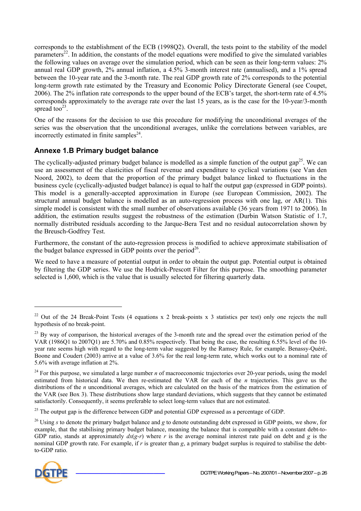corresponds to the establishment of the ECB (1998Q2). Overall, the tests point to the stability of the model parameters<sup>22</sup>. In addition, the constants of the model equations were modified to give the simulated variables the following values on average over the simulation period, which can be seen as their long-term values: 2% annual real GDP growth, 2% annual inflation, a 4.5% 3-month interest rate (annualised), and a 1% spread between the 10-year rate and the 3-month rate. The real GDP growth rate of 2% corresponds to the potential long-term growth rate estimated by the Treasury and Economic Policy Directorate General (see Coupet, 2006). The 2% inflation rate corresponds to the upper bound of the ECB's target, the short-term rate of 4.5% corresponds approximately to the average rate over the last 15 years, as is the case for the 10-year/3-month spread too $^{23}$ .

One of the reasons for the decision to use this procedure for modifying the unconditional averages of the series was the observation that the unconditional averages, unlike the correlations between variables, are incorrectly estimated in finite samples<sup>24</sup>.

### **Annexe 1.B Primary budget balance**

The cyclically-adjusted primary budget balance is modelled as a simple function of the output gap<sup>25</sup>. We can use an assessment of the elasticities of fiscal revenue and expenditure to cyclical variations (see Van den Noord, 2002), to deem that the proportion of the primary budget balance linked to fluctuations in the business cycle (cyclically-adjusted budget balance) is equal to half the output gap (expressed in GDP points). This model is a generally-accepted approximation in Europe (see European Commission, 2002). The structural annual budget balance is modelled as an auto-regression process with one lag, or AR(1). This simple model is consistent with the small number of observations available (36 years from 1971 to 2006). In addition, the estimation results suggest the robustness of the estimation (Durbin Watson Statistic of 1.7, normally distributed residuals according to the Jarque-Bera Test and no residual autocorrelation shown by the Breusch-Godfrey Test.

Furthermore, the constant of the auto-regression process is modified to achieve approximate stabilisation of the budget balance expressed in GDP points over the period<sup>26</sup>.

We need to have a measure of potential output in order to obtain the output gap. Potential output is obtained by filtering the GDP series. We use the Hodrick-Prescott Filter for this purpose. The smoothing parameter selected is 1,600, which is the value that is usually selected for filtering quarterly data.

<sup>&</sup>lt;sup>26</sup> Using *s* to denote the primary budget balance and *g* to denote outstanding debt expressed in GDP points, we show, for example, that the stabilising primary budget balance, meaning the balance that is compatible with a constant debt-to-GDP ratio, stands at approximately  $dx(e-r)$  where r is the average nominal interest rate paid on debt and *g* is the nominal GDP growth rate. For example, if *r* is greater than *g*, a primary budget surplus is required to stabilise the debtto-GDP ratio.



<sup>&</sup>lt;sup>22</sup> Out of the 24 Break-Point Tests (4 equations x 2 break-points x 3 statistics per test) only one rejects the null hypothesis of no break-point.

<sup>&</sup>lt;sup>23</sup> By way of comparison, the historical averages of the 3-month rate and the spread over the estimation period of the VAR (1986Q1 to 2007Q1) are 5.70% and 0.85% respectively. That being the case, the resulting 6.55% level of the 10 year rate seems high with regard to the long-term value suggested by the Ramsey Rule, for example. Benassy-Quéré, Boone and Coudert (2003) arrive at a value of 3.6% for the real long-term rate, which works out to a nominal rate of 5.6% with average inflation at 2%.

<sup>&</sup>lt;sup>24</sup> For this purpose, we simulated a large number *n* of macroeconomic trajectories over 20-year periods, using the model estimated from historical data. We then re-estimated the VAR for each of the *n* trajectories. This gave us the distributions of the *n* unconditional averages, which are calculated on the basis of the matrices from the estimation of the VAR (see Box 3). These distributions show large standard deviations, which suggests that they cannot be estimated satisfactorily. Consequently, it seems preferable to select long-term values that are not estimated.

<sup>&</sup>lt;sup>25</sup> The output gap is the difference between GDP and potential GDP expressed as a percentage of GDP.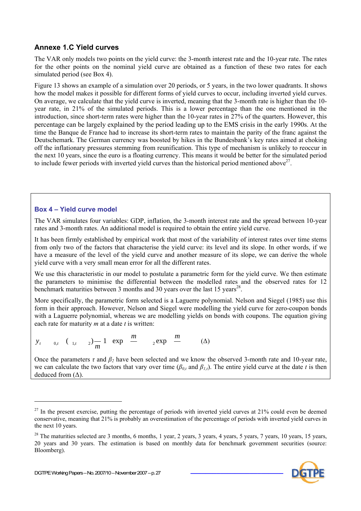#### **Annexe 1.C Yield curves**

The VAR only models two points on the yield curve: the 3-month interest rate and the 10-year rate. The rates for the other points on the nominal yield curve are obtained as a function of these two rates for each simulated period (see Box 4).

Figure 13 shows an example of a simulation over 20 periods, or 5 years, in the two lower quadrants. It shows how the model makes it possible for different forms of yield curves to occur, including inverted yield curves. On average, we calculate that the yield curve is inverted, meaning that the 3-month rate is higher than the 10 year rate, in 21% of the simulated periods. This is a lower percentage than the one mentioned in the introduction, since short-term rates were higher than the 10-year rates in 27% of the quarters. However, this percentage can be largely explained by the period leading up to the EMS crisis in the early 1990s. At the time the Banque de France had to increase its short-term rates to maintain the parity of the franc against the Deutschemark. The German currency was boosted by hikes in the Bundesbank's key rates aimed at choking off the inflationary pressures stemming from reunification. This type of mechanism is unlikely to reoccur in the next 10 years, since the euro is a floating currency. This means it would be better for the simulated period to include fewer periods with inverted yield curves than the historical period mentioned above<sup>27</sup>.

#### **Box 4 – Yield curve model**

The VAR simulates four variables: GDP, inflation, the 3-month interest rate and the spread between 10-year rates and 3-month rates. An additional model is required to obtain the entire yield curve.

It has been firmly established by empirical work that most of the variability of interest rates over time stems from only two of the factors that characterise the yield curve: its level and its slope. In other words, if we have a measure of the level of the yield curve and another measure of its slope, we can derive the whole yield curve with a very small mean error for all the different rates.

We use this characteristic in our model to postulate a parametric form for the yield curve. We then estimate the parameters to minimise the differential between the modelled rates and the observed rates for 12 benchmark maturities between 3 months and 30 years over the last 15 years<sup>28</sup>.

More specifically, the parametric form selected is a Laguerre polynomial. Nelson and Siegel (1985) use this form in their approach. However, Nelson and Siegel were modelling the yield curve for zero-coupon bonds with a Laguerre polynomial, whereas we are modelling yields on bonds with coupons. The equation giving each rate for maturity *m* at a date *t* is written:

$$
y_t \qquad_{0,t} \quad (\begin{array}{cc} 1, & 0 \end{array}) \frac{m}{m} \quad \text{exp} \quad \frac{m}{m} \qquad \text{exp} \quad \frac{m}{m} \qquad \text{(A)}
$$

Once the parameters *τ* and *β2* have been selected and we know the observed 3-month rate and 10-year rate, we can calculate the two factors that vary over time ( $\beta_{0,t}$  and  $\beta_{1,t}$ ). The entire yield curve at the date *t* is then deduced from  $(∆)$ .

 $28$  The maturities selected are 3 months, 6 months, 1 year, 2 years, 3 years, 4 years, 5 years, 7 years, 10 years, 15 years, 20 years and 30 years. The estimation is based on monthly data for benchmark government securities (source: Bloomberg).



 $27$  In the present exercise, putting the percentage of periods with inverted yield curves at 21% could even be deemed conservative, meaning that 21% is probably an overestimation of the percentage of periods with inverted yield curves in the next 10 years.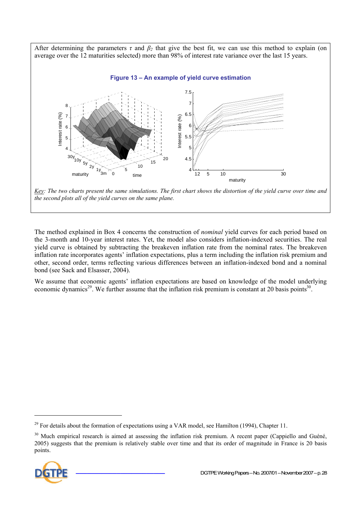

The method explained in Box 4 concerns the construction of *nominal* yield curves for each period based on the 3-month and 10-year interest rates. Yet, the model also considers inflation-indexed securities. The real yield curve is obtained by subtracting the breakeven inflation rate from the nominal rates. The breakeven inflation rate incorporates agents' inflation expectations, plus a term including the inflation risk premium and other, second order, terms reflecting various differences between an inflation-indexed bond and a nominal bond (see Sack and Elsasser, 2004).

We assume that economic agents' inflation expectations are based on knowledge of the model underlying economic dynamics<sup>29</sup>. We further assume that the inflation risk premium is constant at 20 basis points<sup>30</sup>.

<sup>&</sup>lt;sup>30</sup> Much empirical research is aimed at assessing the inflation risk premium. A recent paper (Cappiello and Guéné, 2005) suggests that the premium is relatively stable over time and that its order of magnitude in France is 20 basis points.



 $^{29}$  For details about the formation of expectations using a VAR model, see Hamilton (1994), Chapter 11.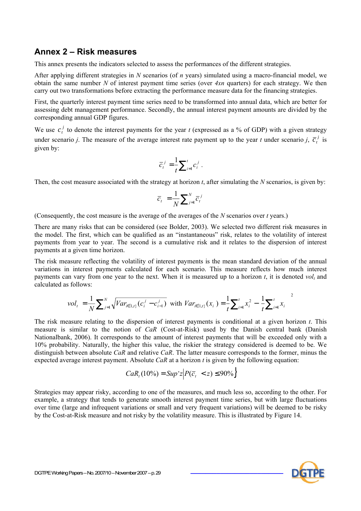### **Annex 2 – Risk measures**

This annex presents the indicators selected to assess the performances of the different strategies.

After applying different strategies in *N* scenarios (of *n* years) simulated using a macro-financial model, we obtain the same number *N* of interest payment time series (over *4xn* quarters) for each strategy. We then carry out two transformations before extracting the performance measure data for the financing strategies.

First, the quarterly interest payment time series need to be transformed into annual data, which are better for assessing debt management performance. Secondly, the annual interest payment amounts are divided by the corresponding annual GDP figures.

We use  $c_t^j$  to denote the interest payments for the year *t* (expressed as a % of GDP) with a given strategy under scenario *j*. The measure of the average interest rate payment up to the year *t* under scenario *j*,  $\overline{c}^j_t$  is given by:

$$
\overline{c}_t^j = \frac{1}{t} \sum_{i=1}^t c_i^j.
$$

Then, the cost measure associated with the strategy at horizon *t*, after simulating the *N* scenarios, is given by:

$$
\overline{c}_t = \frac{1}{N} \sum_{j=1}^N \overline{c}_t^j
$$

(Consequently, the cost measure is the average of the averages of the *N* scenarios over *t* years.)

There are many risks that can be considered (see Bolder, 2003). We selected two different risk measures in the model. The first, which can be qualified as an "instantaneous" risk, relates to the volatility of interest payments from year to year. The second is a cumulative risk and it relates to the dispersion of interest payments at a given time horizon.

The risk measure reflecting the volatility of interest payments is the mean standard deviation of the annual variations in interest payments calculated for each scenario. This measure reflects how much interest payments can vary from one year to the next. When it is measured up to a horizon *t*, it is denoted *volt* and calculated as follows:

$$
vol_{t} = \frac{1}{N} \sum_{j=1}^{N} \sqrt{Var_{i \in [1,t]}(c_{i}^{j} - c_{i-1}^{j})} \text{ with } Var_{i \in [1,t]}(x_{i}) = \frac{1}{t} \sum_{i=1}^{t} x_{i}^{2} - \left(\frac{1}{t} \sum_{i=1}^{t} x_{i}\right)^{2}
$$

The risk measure relating to the dispersion of interest payments is conditional at a given horizon *t*. This measure is similar to the notion of *CaR* (Cost-at-Risk) used by the Danish central bank (Danish Nationalbank, 2006). It corresponds to the amount of interest payments that will be exceeded only with a 10% probability. Naturally, the higher this value, the riskier the strategy considered is deemed to be. We distinguish between absolute *CaR* and relative *CaR*. The latter measure corresponds to the former, minus the expected average interest payment. Absolute *CaR* at a horizon *t* is given by the following equation:

$$
CaR_t(10\%) = Sup\Big|z\Big|P(\overline{c}_t < z) \le 90\%\Big\}
$$

Strategies may appear risky, according to one of the measures, and much less so, according to the other. For example, a strategy that tends to generate smooth interest payment time series, but with large fluctuations over time (large and infrequent variations or small and very frequent variations) will be deemed to be risky by the Cost-at-Risk measure and not risky by the volatility measure. This is illustrated by Figure 14.

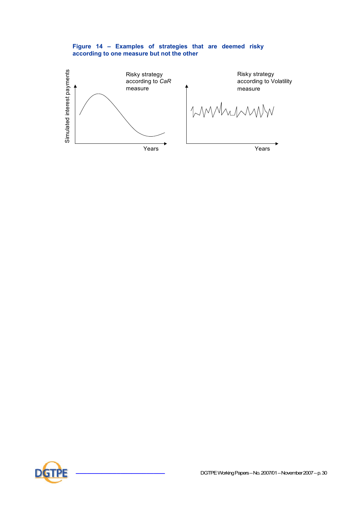#### **Figure 14 – Examples of strategies that are deemed risky according to one measure but not the other**





**\_\_\_\_\_\_\_\_\_\_\_\_\_\_\_\_\_\_\_\_\_\_\_\_** DGTPE Working Papers – No. 2007/01 – November 2007 – p. 30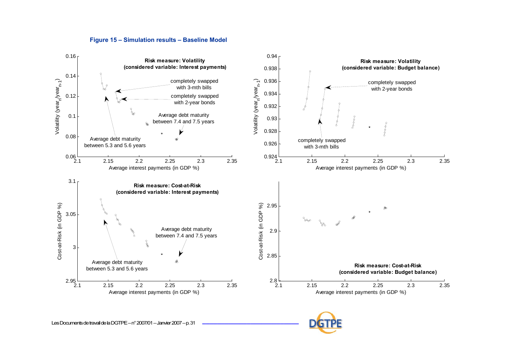

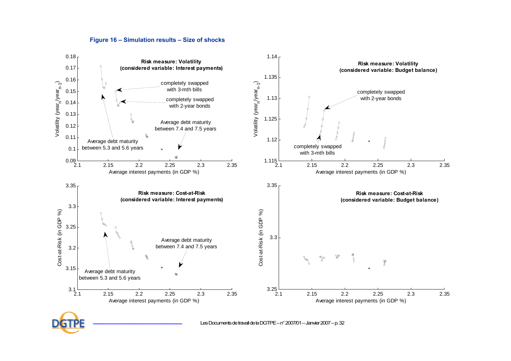

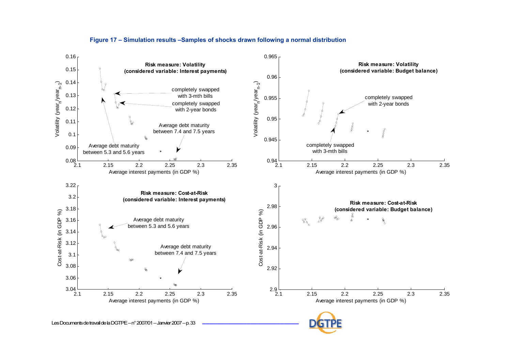

#### **Figure 17 – Simulation results –Samples of shocks drawn following a normal distribution**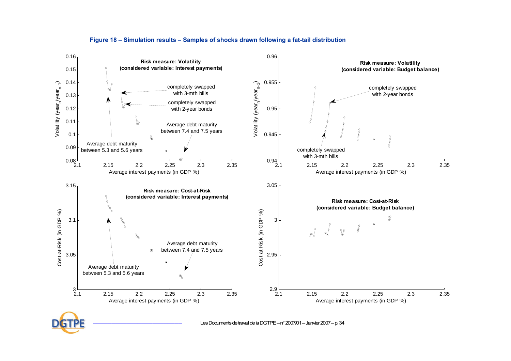![](_page_35_Figure_0.jpeg)

#### **Figure 18 – Simulation results – Samples of shocks drawn following a fat-tail distribution**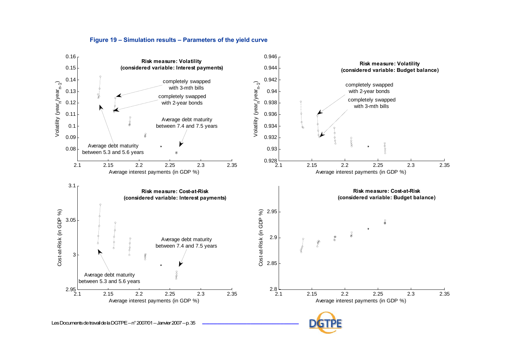![](_page_36_Figure_0.jpeg)

#### **Figure 19 – Simulation results – Parameters of the yield curve**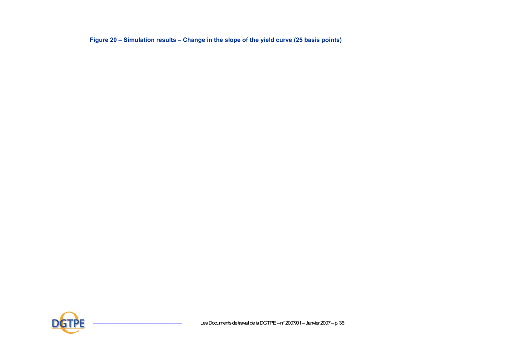**Figure 20 – Simulation results – Change in the slope of the yield curve (25 basis points)** 

![](_page_37_Picture_1.jpeg)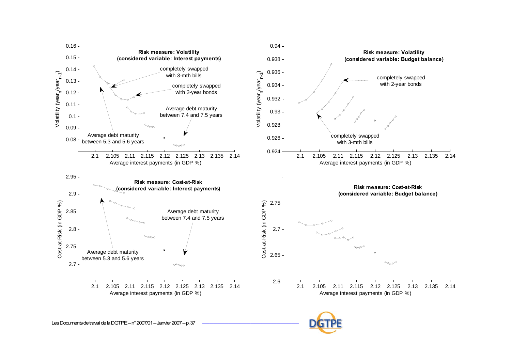![](_page_38_Figure_0.jpeg)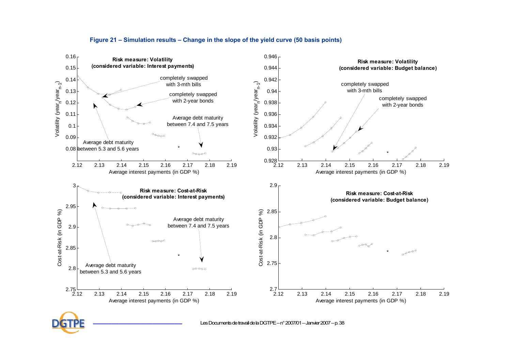![](_page_39_Figure_0.jpeg)

#### **Figure 21 – Simulation results – Change in the slope of the yield curve (50 basis points)**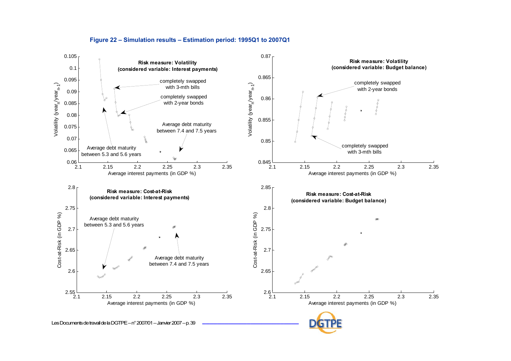![](_page_40_Figure_0.jpeg)

#### **Figure 22 – Simulation results – Estimation period: 1995Q1 to 2007Q1**